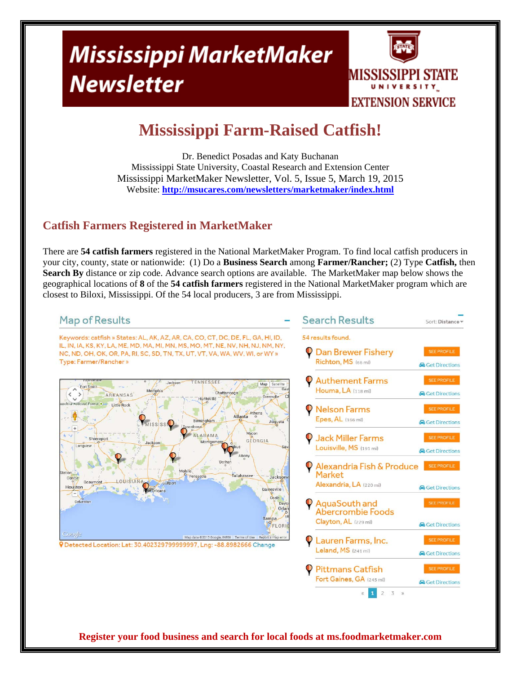# Mississippi MarketMaker **Newsletter**



## **Mississippi Farm-Raised Catfish!**

Dr. Benedict Posadas and Katy Buchanan Mississippi State University, Coastal Research and Extension Center Mississippi MarketMaker Newsletter, Vol. 5, Issue 5, March 19, 2015 Website: **http://msucares.com/newsletters/marketmaker/index.html** 

#### **Catfish Farmers Registered in MarketMaker**

There are **54 catfish farmers** registered in the National MarketMaker Program. To find local catfish producers in your city, county, state or nationwide: (1) Do a **Business Search** among **Farmer/Rancher;** (2) Type **Catfish,** then **Search By** distance or zip code. Advance search options are available. The MarketMaker map below shows the geographical locations of **8** of the **54 catfish farmers** registered in the National MarketMaker program which are closest to Biloxi, Mississippi. Of the 54 local producers, 3 are from Mississippi.

#### **Search Results Map of Results** Sort: Distance Keywords: catfish » States: AL, AK, AZ, AR, CA, CO, CT, DC, DE, FL, GA, HI, ID, 54 results found. IL, IN, IA, KS, KY, LA, ME, MD, MA, MI, MN, MS, MO, MT, NE, NV, NH, NJ, NM, NY, **C** Dan Brewer Fisherv NC, ND, OH, OK, OR, PA, RI, SC, SD, TN, TX, UT, VT, VA, WA, WV, WI, or WY » Type: Farmer/Rancher » Richton, MS (66 mi) **A** Get Directions **Authement Farms** TENNESSEE Jackson Map | Sate Formation Fort Smith Houma, LA (118 mi) Memphis Chattan ARKANSAS **Get Directions** divetoule hita National Forest<sup>®</sup> Little Rock **Nelson Farms** Epes, AL (166 mi) Rimi **August Get Directions ALABAMA Jack Miller Farms** Shrevenor GEORGIA **Longview** Louisville, MS (191 mi) Get Directions Dotha Alexandria Fish & Produce SEE PROFILE **Market** LOUISIANA  $R_{\rm c}$ Alexandria, LA (220 mi) Houston **&** Get Directions Galuestor AquaSouth and Orla **Abercrombie Foods** ampa Clayton, AL (229 mi) **A** Get Directions FLORI Coogle Map data @2015 Google, INEGI | Terms of Use | Report a ma Lauren Farms, Inc. PDetected Location: Lat: 30.402329799999997, Lng: -88.8982666 Change Leland, MS (241 mi) Get Directions **Pittmans Catfish** Fort Gaines, GA (245 mi) **Get Directions**  $\overline{3}$   $\overline{y}$  $\overline{2}$

**Register your food business and search for local foods at ms.foodmarketmaker.com**